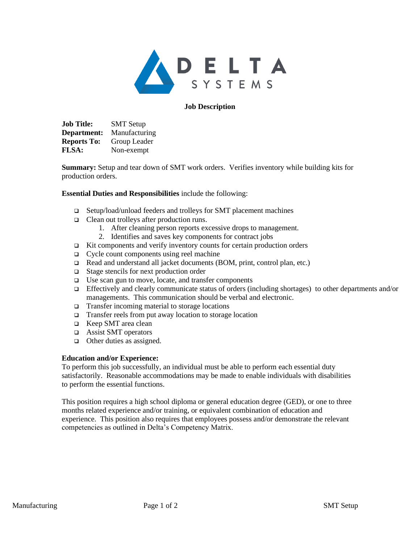

### **Job Description**

**Job Title:** SMT Setup **Department:** Manufacturing **Reports To:** Group Leader **FLSA:** Non-exempt

**Summary:** Setup and tear down of SMT work orders. Verifies inventory while building kits for production orders.

### **Essential Duties and Responsibilities** include the following:

- ❑ Setup/load/unload feeders and trolleys for SMT placement machines
- ❑ Clean out trolleys after production runs.
	- 1. After cleaning person reports excessive drops to management.
	- 2. Identifies and saves key components for contract jobs
- ❑ Kit components and verify inventory counts for certain production orders
- ❑ Cycle count components using reel machine
- ❑ Read and understand all jacket documents (BOM, print, control plan, etc.)
- ❑ Stage stencils for next production order
- ❑ Use scan gun to move, locate, and transfer components
- ❑ Effectively and clearly communicate status of orders (including shortages) to other departments and/or managements. This communication should be verbal and electronic.
- ❑ Transfer incoming material to storage locations
- ❑ Transfer reels from put away location to storage location
- ❑ Keep SMT area clean
- ❑ Assist SMT operators
- ❑ Other duties as assigned.

#### **Education and/or Experience:**

To perform this job successfully, an individual must be able to perform each essential duty satisfactorily. Reasonable accommodations may be made to enable individuals with disabilities to perform the essential functions.

This position requires a high school diploma or general education degree (GED), or one to three months related experience and/or training, or equivalent combination of education and experience. This position also requires that employees possess and/or demonstrate the relevant competencies as outlined in Delta's Competency Matrix.